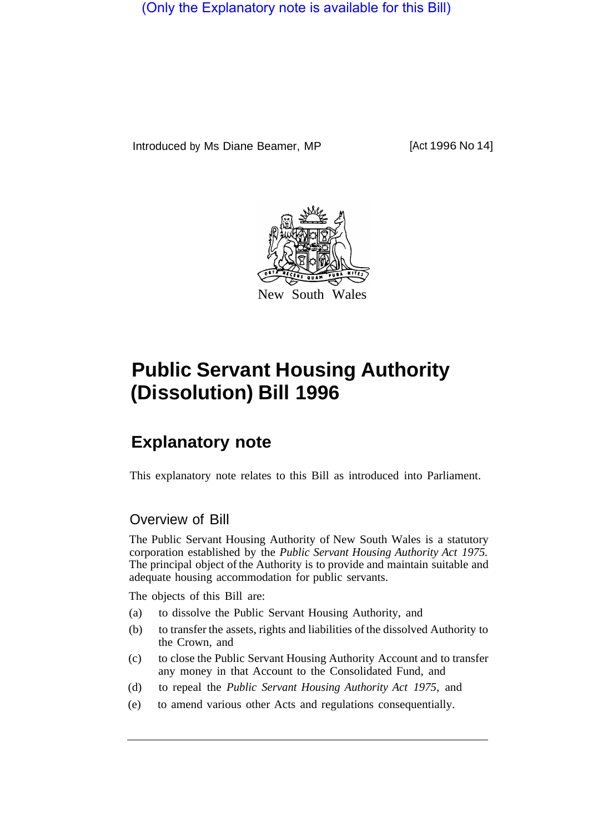(Only the Explanatory note is available for this Bill)

Introduced by Ms Diane Beamer, MP [Act 1996 No 14]



# **Public Servant Housing Authority (Dissolution) Bill 1996**

# **Explanatory note**

This explanatory note relates to this Bill as introduced into Parliament.

### Overview of Bill

The Public Servant Housing Authority of New South Wales is a statutory corporation established by the *Public Servant Housing Authority Act 1975.*  The principal object of the Authority is to provide and maintain suitable and adequate housing accommodation for public servants.

The objects of this Bill are:

- (a) to dissolve the Public Servant Housing Authority, and
- (b) to transfer the assets, rights and liabilities of the dissolved Authority to the Crown, and
- (c) to close the Public Servant Housing Authority Account and to transfer any money in that Account to the Consolidated Fund, and
- (d) to repeal the *Public Servant Housing Authority Act 1975,* and
- (e) to amend various other Acts and regulations consequentially.